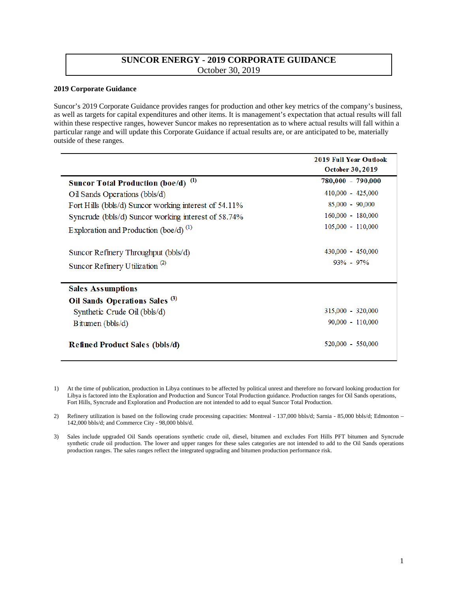## **SUNCOR ENERGY - 2019 CORPORATE GUIDANCE** October 30, 2019

## **2019 Corporate Guidance**

 Suncor's 2019 Corporate Guidance provides ranges for production and other key metrics of the company's business, as well as targets for capital expenditures and other items. It is management's expectation that actual results will fall within these respective ranges, however Suncor makes no representation as to where actual results will fall within a particular range and will update this Corporate Guidance if actual results are, or are anticipated to be, materially outside of these ranges.

|                                                       | <b>2019 Full Year Outlook</b> |
|-------------------------------------------------------|-------------------------------|
|                                                       | <b>October 30, 2019</b>       |
| <b>Suncor Total Production (boe/d)</b> <sup>(1)</sup> | 780,000 - 790,000             |
| Oil Sands Operations (bbls/d)                         | $410,000 - 425,000$           |
| Fort Hills (bbls/d) Suncor working interest of 54.11% | $85,000 - 90,000$             |
| Syncrude (bbls/d) Suncor working interest of 58.74%   | 160,000 - 180,000             |
| Exploration and Production (boe/d) $^{(1)}$           | 105,000 - 110,000             |
| Suncor Refinery Throughput (bbls/d)                   | 430,000 - 450,000             |
| Suncor Refinery Utilization <sup>(2)</sup>            | $93\% - 97\%$                 |
| <b>Sales Assumptions</b>                              |                               |
| Oil Sands Operations Sales <sup>(3)</sup>             |                               |
| Synthetic Crude Oil (bbls/d)                          | 315,000 - 320,000             |
| Bitumen ( $bbls/d$ )                                  | $90,000 - 110,000$            |
| <b>Refined Product Sales (bbls/d)</b>                 | 520,000 - 550,000             |

1) At the time of publication, production in Libya continues to be affected by political unrest and therefore no forward looking production for Libya is factored into the Exploration and Production and Suncor Total Production guidance. Production ranges for Oil Sands operations, Fort Hills, Syncrude and Exploration and Production are not intended to add to equal Suncor Total Production.

 2) Refinery utilization is based on the following crude processing capacities: Montreal - 137,000 bbls/d; Sarnia - 85,000 bbls/d; Edmonton – 142,000 bbls/d; and Commerce City - 98,000 bbls/d.

 3) Sales include upgraded Oil Sands operations synthetic crude oil, diesel, bitumen and excludes Fort Hills PFT bitumen and Syncrude synthetic crude oil production. The lower and upper ranges for these sales categories are not intended to add to the Oil Sands operations production ranges. The sales ranges reflect the integrated upgrading and bitumen production performance risk.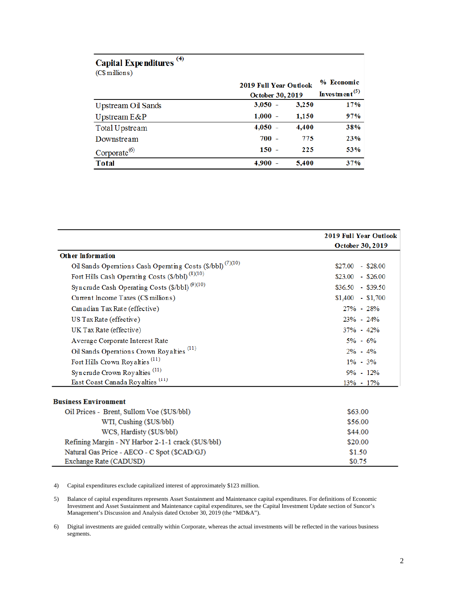| Capital Expenditures <sup>(4)</sup><br>(C\$ millions) |                                                          |       |                                         |
|-------------------------------------------------------|----------------------------------------------------------|-------|-----------------------------------------|
|                                                       | <b>2019 Full Year Outlook</b><br><b>October 30, 2019</b> |       | % Economic<br>Investment <sup>(5)</sup> |
| Upstream Oil Sands                                    | $3,050 -$                                                | 3,250 | 17%                                     |
| Upstream $E\&P$                                       | $1,000 -$                                                | 1,150 | 97%                                     |
| Total Upstream                                        | $4,050 -$                                                | 4,400 | 38%                                     |
| Downstream                                            | $700 -$                                                  | 775   | 23%                                     |
| $Corporate^{(6)}$                                     | $150 -$                                                  | 225   | 53%                                     |
| <b>Total</b>                                          | $4,900 -$                                                | 5,400 | 37%                                     |

|                                                                       | <b>2019 Full Year Outlook</b> |
|-----------------------------------------------------------------------|-------------------------------|
|                                                                       | <b>October 30, 2019</b>       |
| <b>Other Information</b>                                              |                               |
| Oil Sands Operations Cash Operating Costs (\$/bb]) <sup>(7)(10)</sup> | $$27.00 - $28.00$             |
| Fort Hills Cash Operating Costs (\$/bbl) <sup>(8)(10)</sup>           | $$23.00 - $26.00$             |
| Syncrude Cash Operating Costs $(\frac{\sqrt{9}}{10})^{(9)(10)}$       | $$36.50 - $39.50$             |
| Current Income Taxes (C\$ millions)                                   | $$1,400$ - \$1,700            |
| Canadian Tax Rate (effective)                                         | $27\% - 28\%$                 |
| US Tax Rate (effective)                                               | $23\% - 24\%$                 |
| UK Tax Rate (effective)                                               | $37\% - 42\%$                 |
| Average Corporate Interest Rate                                       | $5\% - 6\%$                   |
| Oil Sands Operations Crown Royalties <sup>(11)</sup>                  | $2\% - 4\%$                   |
| Fort Hills Crown Royalties <sup>(11)</sup>                            | $1\% - 3\%$                   |
| Syncrude Crown Royalties <sup>(11)</sup>                              | $9\% - 12\%$                  |
| East Coast Canada Royalties <sup>(11)</sup>                           | $13\% - 17\%$                 |
|                                                                       |                               |
| <b>Business Environment</b>                                           |                               |
| Oil Prices - Brent, Sullom Voe (\$US/bbl)                             | \$63.00                       |

| WTI, Cushing (\$US/bbl)                            | \$56.00 |
|----------------------------------------------------|---------|
| WCS, Hardisty (\$US/bbl)                           | \$44.00 |
| Refining Margin - NY Harbor 2-1-1 crack (\$US/bbl) | \$20.00 |
| Natural Gas Price - AECO - C Spot (\$CAD/GJ)       | \$1.50  |
| Exchange Rate (CADUSD)                             | \$0.75  |

4) Capital expenditures exclude capitalized interest of approximately \$123million.

5) Balance of capital expenditures represents Asset Sustainment and Maintenance capital expenditures. For definitions of Economic Investment and Asset Sustainment and Maintenance capital expenditures, see the Capital Investment Update section of Suncor's Management's Discussion and Analysis dated October 30, 2019 (the "MD&A").

6) Digital investments are guided centrally within Corporate, whereas the actual investments will be reflected in the various business segments.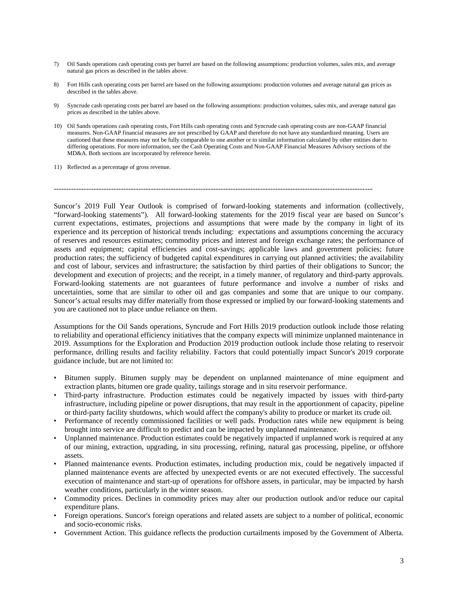- 7) Oil Sands operations cash operating costs per barrel are based on the following assumptions: production volumes, sales mix, and average natural gas prices as described in the tables above.
- described in the tables above. 8) Fort Hills cash operating costs per barrel are based on the following assumptions: production volumes and average natural gas prices as
- prices as described in the tables above. 9) Syncrude cash operating costs per barrel are based on the following assumptions: production volumes, sales mix, and average natural gas
- measures. Non-GAAP financial measures are not prescribed by GAAP and therefore do not have any standardized meaning. Users are MD&A. Both sections are incorporated by reference herein. 10) Oil Sands operations cash operating costs, Fort Hills cash operating costs and Syncrude cash operating costs are non-GAAP financial cautioned that these measures may not be fully comparable to one another or to similar information calculated by other entities due to differing operations. For more information, see the Cash Operating Costs and Non-GAAP Financial Measures Advisory sections of the
- 11) Reflected as a percentage of gross revenue.

 $-1.1$ 

 "forward-looking statements"). All forward-looking statements for the 2019 fiscal year are based on Suncor's development and execution of projects; and the receipt, in a timely manner, of regulatory and third-party approvals. Suncor's actual results may differ materially from those expressed or implied by our forward-looking statements and you are cautioned not to place undue reliance on them. Suncor's 2019 Full Year Outlook is comprised of forward-looking statements and information (collectively, current expectations, estimates, projections and assumptions that were made by the company in light of its experience and its perception of historical trends including: expectations and assumptions concerning the accuracy of reserves and resources estimates; commodity prices and interest and foreign exchange rates; the performance of assets and equipment; capital efficiencies and cost-savings; applicable laws and government policies; future production rates; the sufficiency of budgeted capital expenditures in carrying out planned activities; the availability and cost of labour, services and infrastructure; the satisfaction by third parties of their obligations to Suncor; the Forward-looking statements are not guarantees of future performance and involve a number of risks and uncertainties, some that are similar to other oil and gas companies and some that are unique to our company.

 to reliability and operational efficiency initiatives that the company expects will minimize unplanned maintenance in performance, drilling results and facility reliability. Factors that could potentially impact Suncor's 2019 corporate guidance include, but are not limited to: Assumptions for the Oil Sands operations, Syncrude and Fort Hills 2019 production outlook include those relating 2019. Assumptions for the Exploration and Production 2019 production outlook include those relating to reservoir

- extraction plants, bitumen ore grade quality, tailings storage and in situ reservoir performance. • Bitumen supply. Bitumen supply may be dependent on unplanned maintenance of mine equipment and
- infrastructure, including pipeline or power disruptions, that may result in the apportionment of capacity, pipeline or third-party facility shutdowns, which would affect the company's ability to produce or market its crude oil. • Third-party infrastructure. Production estimates could be negatively impacted by issues with third-party
- brought into service are difficult to predict and can be impacted by unplanned maintenance. • Performance of recently commissioned facilities or well pads. Production rates while new equipment is being
- • Unplanned maintenance. Production estimates could be negatively impacted if unplanned work is required at any of our mining, extraction, upgrading, in situ processing, refining, natural gas processing, pipeline, or offshore assets.
- planned maintenance events are affected by unexpected events or are not executed effectively. The successful weather conditions, particularly in the winter season. • Planned maintenance events. Production estimates, including production mix, could be negatively impacted if execution of maintenance and start-up of operations for offshore assets, in particular, may be impacted by harsh
- • Commodity prices. Declines in commodity prices may alter our production outlook and/or reduce our capital expenditure plans.
- Foreign operations. Suncor's foreign operations and related assets are subject to a number of political, economic and socio-economic risks.
- Government Action. This guidance reflects the production curtailments imposed by the Government of Alberta.